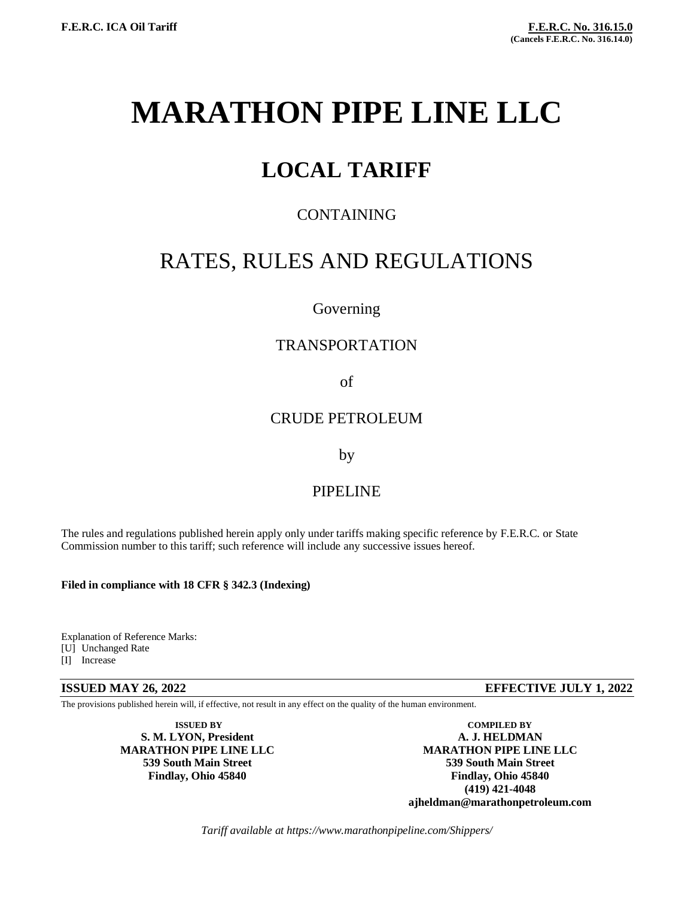# **MARATHON PIPE LINE LLC**

# **LOCAL TARIFF**

# CONTAINING

# RATES, RULES AND REGULATIONS

## Governing

# TRANSPORTATION

of

## CRUDE PETROLEUM

by

# PIPELINE

The rules and regulations published herein apply only under tariffs making specific reference by F.E.R.C. or State Commission number to this tariff; such reference will include any successive issues hereof.

### **Filed in compliance with 18 CFR § 342.3 (Indexing)**

Explanation of Reference Marks: [U] Unchanged Rate [I] Increase

**ISSUED MAY 26, 2022 EFFECTIVE JULY 1, 2022**

The provisions published herein will, if effective, not result in any effect on the quality of the human environment.

 $S. M. LYON.$  President

**ISSUED BY COMPILED BY COMPILED BY COMPILED BY A. J. HELDMAN MARATHON PIPE LINE LLC MARATHON PIPE LINE LLC 539 South Main Street 539 South Main Street Findlay, Ohio 45840 Findlay, Ohio 45840 (419) 421-4048 ajheldman@marathonpetroleum.com**

*Tariff available at https://www.marathonpipeline.com/Shippers/*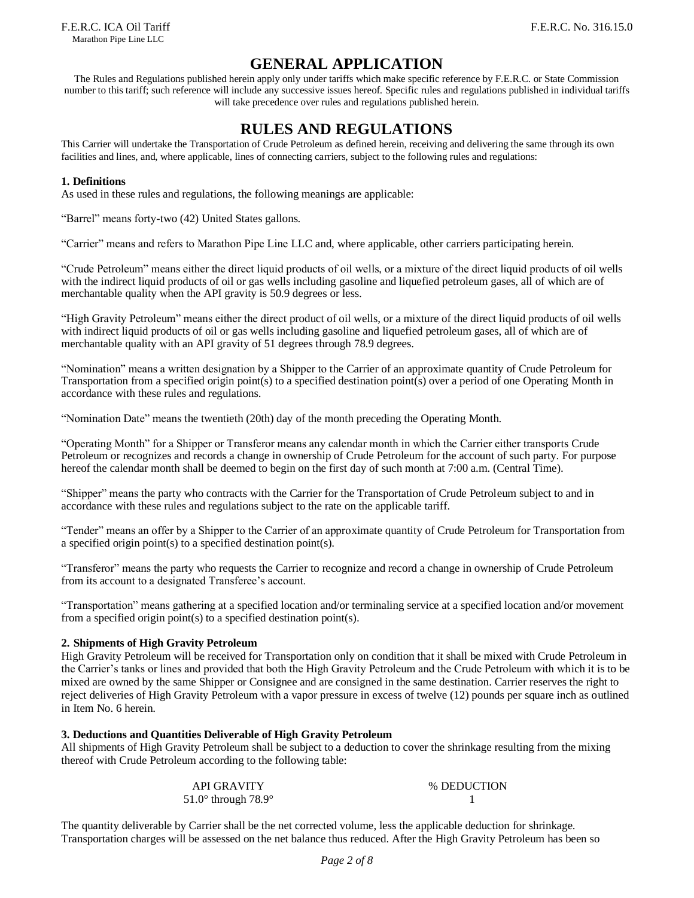## **GENERAL APPLICATION**

The Rules and Regulations published herein apply only under tariffs which make specific reference by F.E.R.C. or State Commission number to this tariff; such reference will include any successive issues hereof. Specific rules and regulations published in individual tariffs will take precedence over rules and regulations published herein.

# **RULES AND REGULATIONS**

This Carrier will undertake the Transportation of Crude Petroleum as defined herein, receiving and delivering the same through its own facilities and lines, and, where applicable, lines of connecting carriers, subject to the following rules and regulations:

#### **1. Definitions**

As used in these rules and regulations, the following meanings are applicable:

"Barrel" means forty-two (42) United States gallons.

"Carrier" means and refers to Marathon Pipe Line LLC and, where applicable, other carriers participating herein.

"Crude Petroleum" means either the direct liquid products of oil wells, or a mixture of the direct liquid products of oil wells with the indirect liquid products of oil or gas wells including gasoline and liquefied petroleum gases, all of which are of merchantable quality when the API gravity is 50.9 degrees or less.

"High Gravity Petroleum" means either the direct product of oil wells, or a mixture of the direct liquid products of oil wells with indirect liquid products of oil or gas wells including gasoline and liquefied petroleum gases, all of which are of merchantable quality with an API gravity of 51 degrees through 78.9 degrees.

"Nomination" means a written designation by a Shipper to the Carrier of an approximate quantity of Crude Petroleum for Transportation from a specified origin point(s) to a specified destination point(s) over a period of one Operating Month in accordance with these rules and regulations.

"Nomination Date" means the twentieth (20th) day of the month preceding the Operating Month.

"Operating Month" for a Shipper or Transferor means any calendar month in which the Carrier either transports Crude Petroleum or recognizes and records a change in ownership of Crude Petroleum for the account of such party. For purpose hereof the calendar month shall be deemed to begin on the first day of such month at 7:00 a.m. (Central Time).

"Shipper" means the party who contracts with the Carrier for the Transportation of Crude Petroleum subject to and in accordance with these rules and regulations subject to the rate on the applicable tariff.

"Tender" means an offer by a Shipper to the Carrier of an approximate quantity of Crude Petroleum for Transportation from a specified origin point(s) to a specified destination point(s).

"Transferor" means the party who requests the Carrier to recognize and record a change in ownership of Crude Petroleum from its account to a designated Transferee's account.

"Transportation" means gathering at a specified location and/or terminaling service at a specified location and/or movement from a specified origin point(s) to a specified destination point(s).

#### **2. Shipments of High Gravity Petroleum**

High Gravity Petroleum will be received for Transportation only on condition that it shall be mixed with Crude Petroleum in the Carrier's tanks or lines and provided that both the High Gravity Petroleum and the Crude Petroleum with which it is to be mixed are owned by the same Shipper or Consignee and are consigned in the same destination. Carrier reserves the right to reject deliveries of High Gravity Petroleum with a vapor pressure in excess of twelve (12) pounds per square inch as outlined in Item No. 6 herein.

#### **3. Deductions and Quantities Deliverable of High Gravity Petroleum**

All shipments of High Gravity Petroleum shall be subject to a deduction to cover the shrinkage resulting from the mixing thereof with Crude Petroleum according to the following table:

| <b>API GRAVITY</b>                    | % DEDUCTION |
|---------------------------------------|-------------|
| 51.0 $\degree$ through 78.9 $\degree$ |             |

The quantity deliverable by Carrier shall be the net corrected volume, less the applicable deduction for shrinkage. Transportation charges will be assessed on the net balance thus reduced. After the High Gravity Petroleum has been so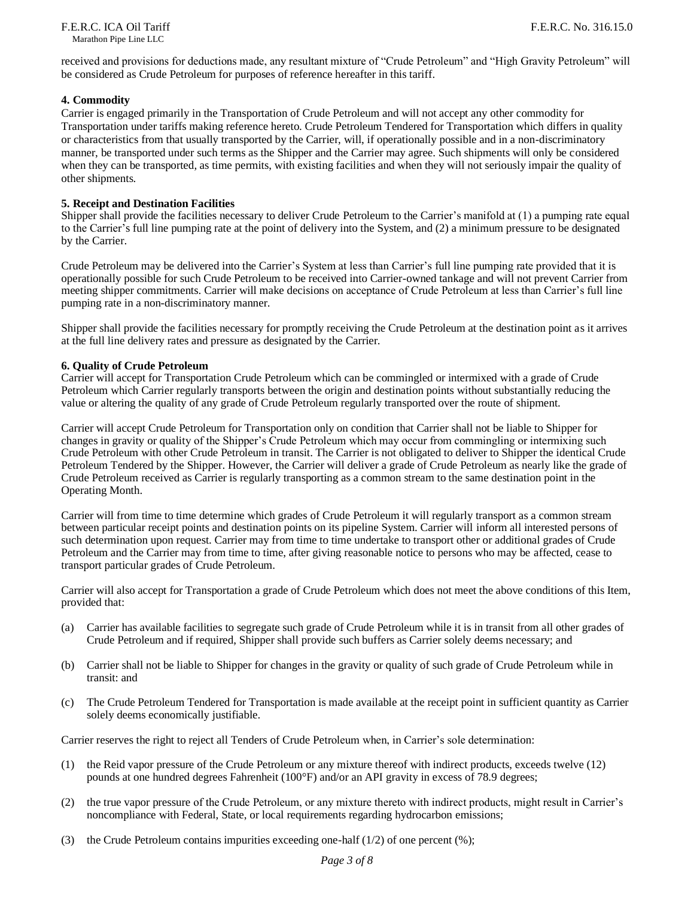received and provisions for deductions made, any resultant mixture of "Crude Petroleum" and "High Gravity Petroleum" will be considered as Crude Petroleum for purposes of reference hereafter in this tariff.

#### **4. Commodity**

Carrier is engaged primarily in the Transportation of Crude Petroleum and will not accept any other commodity for Transportation under tariffs making reference hereto. Crude Petroleum Tendered for Transportation which differs in quality or characteristics from that usually transported by the Carrier, will, if operationally possible and in a non-discriminatory manner, be transported under such terms as the Shipper and the Carrier may agree. Such shipments will only be considered when they can be transported, as time permits, with existing facilities and when they will not seriously impair the quality of other shipments.

#### **5. Receipt and Destination Facilities**

Shipper shall provide the facilities necessary to deliver Crude Petroleum to the Carrier's manifold at (1) a pumping rate equal to the Carrier's full line pumping rate at the point of delivery into the System, and (2) a minimum pressure to be designated by the Carrier.

Crude Petroleum may be delivered into the Carrier's System at less than Carrier's full line pumping rate provided that it is operationally possible for such Crude Petroleum to be received into Carrier-owned tankage and will not prevent Carrier from meeting shipper commitments. Carrier will make decisions on acceptance of Crude Petroleum at less than Carrier's full line pumping rate in a non-discriminatory manner.

Shipper shall provide the facilities necessary for promptly receiving the Crude Petroleum at the destination point as it arrives at the full line delivery rates and pressure as designated by the Carrier.

#### **6. Quality of Crude Petroleum**

Carrier will accept for Transportation Crude Petroleum which can be commingled or intermixed with a grade of Crude Petroleum which Carrier regularly transports between the origin and destination points without substantially reducing the value or altering the quality of any grade of Crude Petroleum regularly transported over the route of shipment.

Carrier will accept Crude Petroleum for Transportation only on condition that Carrier shall not be liable to Shipper for changes in gravity or quality of the Shipper's Crude Petroleum which may occur from commingling or intermixing such Crude Petroleum with other Crude Petroleum in transit. The Carrier is not obligated to deliver to Shipper the identical Crude Petroleum Tendered by the Shipper. However, the Carrier will deliver a grade of Crude Petroleum as nearly like the grade of Crude Petroleum received as Carrier is regularly transporting as a common stream to the same destination point in the Operating Month.

Carrier will from time to time determine which grades of Crude Petroleum it will regularly transport as a common stream between particular receipt points and destination points on its pipeline System. Carrier will inform all interested persons of such determination upon request. Carrier may from time to time undertake to transport other or additional grades of Crude Petroleum and the Carrier may from time to time, after giving reasonable notice to persons who may be affected, cease to transport particular grades of Crude Petroleum.

Carrier will also accept for Transportation a grade of Crude Petroleum which does not meet the above conditions of this Item, provided that:

- (a) Carrier has available facilities to segregate such grade of Crude Petroleum while it is in transit from all other grades of Crude Petroleum and if required, Shipper shall provide such buffers as Carrier solely deems necessary; and
- (b) Carrier shall not be liable to Shipper for changes in the gravity or quality of such grade of Crude Petroleum while in transit: and
- (c) The Crude Petroleum Tendered for Transportation is made available at the receipt point in sufficient quantity as Carrier solely deems economically justifiable.

Carrier reserves the right to reject all Tenders of Crude Petroleum when, in Carrier's sole determination:

- (1) the Reid vapor pressure of the Crude Petroleum or any mixture thereof with indirect products, exceeds twelve (12) pounds at one hundred degrees Fahrenheit (100°F) and/or an API gravity in excess of 78.9 degrees;
- (2) the true vapor pressure of the Crude Petroleum, or any mixture thereto with indirect products, might result in Carrier's noncompliance with Federal, State, or local requirements regarding hydrocarbon emissions;
- (3) the Crude Petroleum contains impurities exceeding one-half  $(1/2)$  of one percent  $(\%)$ ;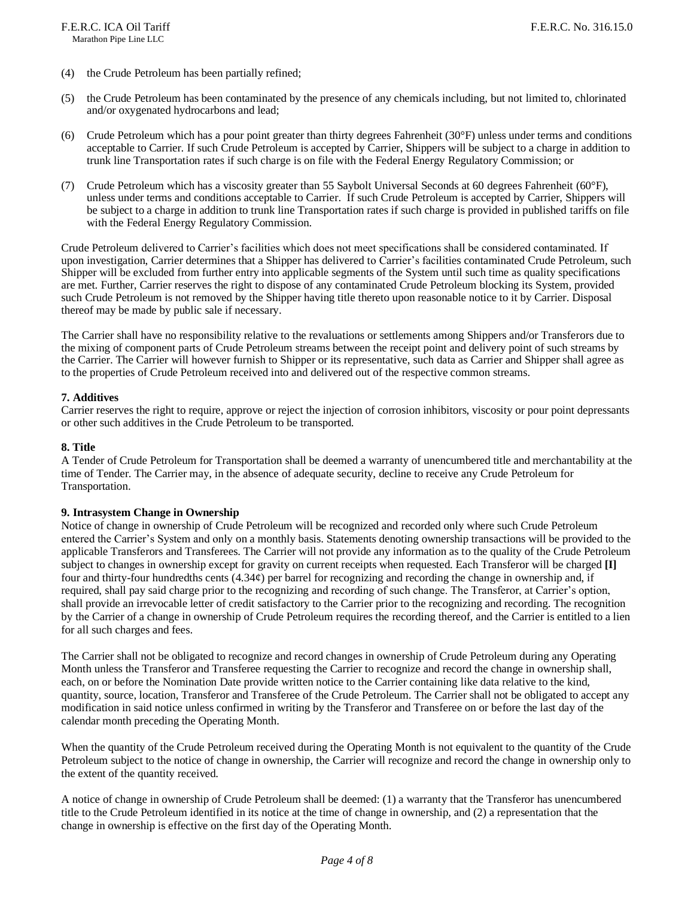- (4) the Crude Petroleum has been partially refined;
- (5) the Crude Petroleum has been contaminated by the presence of any chemicals including, but not limited to, chlorinated and/or oxygenated hydrocarbons and lead;
- (6) Crude Petroleum which has a pour point greater than thirty degrees Fahrenheit (30°F) unless under terms and conditions acceptable to Carrier. If such Crude Petroleum is accepted by Carrier, Shippers will be subject to a charge in addition to trunk line Transportation rates if such charge is on file with the Federal Energy Regulatory Commission; or
- (7) Crude Petroleum which has a viscosity greater than 55 Saybolt Universal Seconds at 60 degrees Fahrenheit (60°F), unless under terms and conditions acceptable to Carrier. If such Crude Petroleum is accepted by Carrier, Shippers will be subject to a charge in addition to trunk line Transportation rates if such charge is provided in published tariffs on file with the Federal Energy Regulatory Commission.

Crude Petroleum delivered to Carrier's facilities which does not meet specifications shall be considered contaminated. If upon investigation, Carrier determines that a Shipper has delivered to Carrier's facilities contaminated Crude Petroleum, such Shipper will be excluded from further entry into applicable segments of the System until such time as quality specifications are met. Further, Carrier reserves the right to dispose of any contaminated Crude Petroleum blocking its System, provided such Crude Petroleum is not removed by the Shipper having title thereto upon reasonable notice to it by Carrier. Disposal thereof may be made by public sale if necessary.

The Carrier shall have no responsibility relative to the revaluations or settlements among Shippers and/or Transferors due to the mixing of component parts of Crude Petroleum streams between the receipt point and delivery point of such streams by the Carrier. The Carrier will however furnish to Shipper or its representative, such data as Carrier and Shipper shall agree as to the properties of Crude Petroleum received into and delivered out of the respective common streams.

#### **7. Additives**

Carrier reserves the right to require, approve or reject the injection of corrosion inhibitors, viscosity or pour point depressants or other such additives in the Crude Petroleum to be transported.

#### **8. Title**

A Tender of Crude Petroleum for Transportation shall be deemed a warranty of unencumbered title and merchantability at the time of Tender. The Carrier may, in the absence of adequate security, decline to receive any Crude Petroleum for Transportation.

#### **9. Intrasystem Change in Ownership**

Notice of change in ownership of Crude Petroleum will be recognized and recorded only where such Crude Petroleum entered the Carrier's System and only on a monthly basis. Statements denoting ownership transactions will be provided to the applicable Transferors and Transferees. The Carrier will not provide any information as to the quality of the Crude Petroleum subject to changes in ownership except for gravity on current receipts when requested. Each Transferor will be charged **[I]** four and thirty-four hundredths cents  $(4.34\psi)$  per barrel for recognizing and recording the change in ownership and, if required, shall pay said charge prior to the recognizing and recording of such change. The Transferor, at Carrier's option, shall provide an irrevocable letter of credit satisfactory to the Carrier prior to the recognizing and recording. The recognition by the Carrier of a change in ownership of Crude Petroleum requires the recording thereof, and the Carrier is entitled to a lien for all such charges and fees.

The Carrier shall not be obligated to recognize and record changes in ownership of Crude Petroleum during any Operating Month unless the Transferor and Transferee requesting the Carrier to recognize and record the change in ownership shall, each, on or before the Nomination Date provide written notice to the Carrier containing like data relative to the kind, quantity, source, location, Transferor and Transferee of the Crude Petroleum. The Carrier shall not be obligated to accept any modification in said notice unless confirmed in writing by the Transferor and Transferee on or before the last day of the calendar month preceding the Operating Month.

When the quantity of the Crude Petroleum received during the Operating Month is not equivalent to the quantity of the Crude Petroleum subject to the notice of change in ownership, the Carrier will recognize and record the change in ownership only to the extent of the quantity received.

A notice of change in ownership of Crude Petroleum shall be deemed: (1) a warranty that the Transferor has unencumbered title to the Crude Petroleum identified in its notice at the time of change in ownership, and (2) a representation that the change in ownership is effective on the first day of the Operating Month.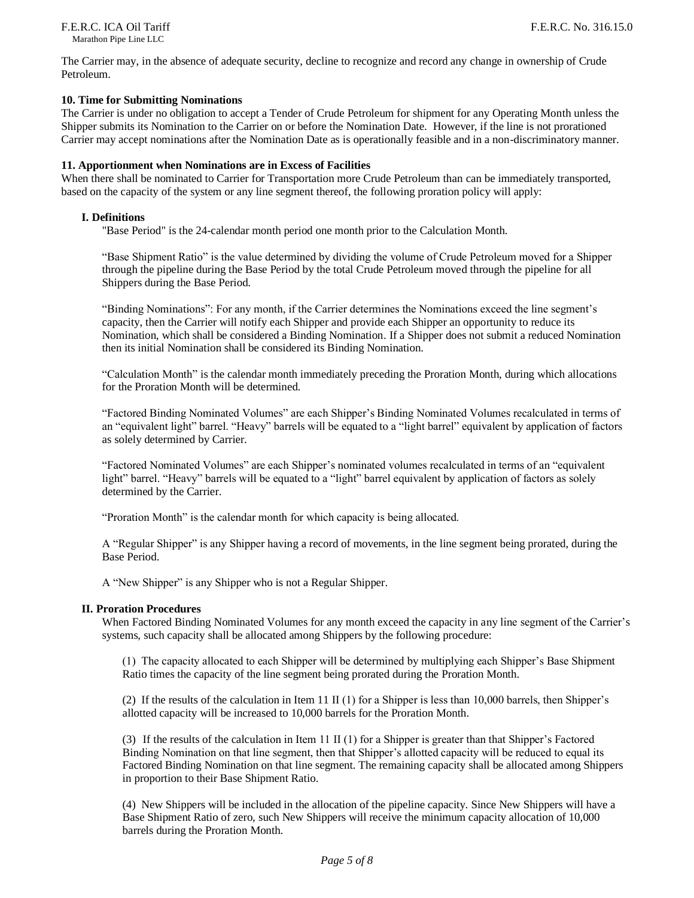The Carrier may, in the absence of adequate security, decline to recognize and record any change in ownership of Crude Petroleum.

#### **10. Time for Submitting Nominations**

The Carrier is under no obligation to accept a Tender of Crude Petroleum for shipment for any Operating Month unless the Shipper submits its Nomination to the Carrier on or before the Nomination Date. However, if the line is not prorationed Carrier may accept nominations after the Nomination Date as is operationally feasible and in a non-discriminatory manner.

#### **11. Apportionment when Nominations are in Excess of Facilities**

When there shall be nominated to Carrier for Transportation more Crude Petroleum than can be immediately transported, based on the capacity of the system or any line segment thereof, the following proration policy will apply:

#### **I. Definitions**

"Base Period" is the 24-calendar month period one month prior to the Calculation Month.

"Base Shipment Ratio" is the value determined by dividing the volume of Crude Petroleum moved for a Shipper through the pipeline during the Base Period by the total Crude Petroleum moved through the pipeline for all Shippers during the Base Period.

"Binding Nominations": For any month, if the Carrier determines the Nominations exceed the line segment's capacity, then the Carrier will notify each Shipper and provide each Shipper an opportunity to reduce its Nomination, which shall be considered a Binding Nomination. If a Shipper does not submit a reduced Nomination then its initial Nomination shall be considered its Binding Nomination.

"Calculation Month" is the calendar month immediately preceding the Proration Month, during which allocations for the Proration Month will be determined.

"Factored Binding Nominated Volumes" are each Shipper's Binding Nominated Volumes recalculated in terms of an "equivalent light" barrel. "Heavy" barrels will be equated to a "light barrel" equivalent by application of factors as solely determined by Carrier.

"Factored Nominated Volumes" are each Shipper's nominated volumes recalculated in terms of an "equivalent light" barrel. "Heavy" barrels will be equated to a "light" barrel equivalent by application of factors as solely determined by the Carrier.

"Proration Month" is the calendar month for which capacity is being allocated.

A "Regular Shipper" is any Shipper having a record of movements, in the line segment being prorated, during the Base Period.

A "New Shipper" is any Shipper who is not a Regular Shipper.

#### **II. Proration Procedures**

When Factored Binding Nominated Volumes for any month exceed the capacity in any line segment of the Carrier's systems, such capacity shall be allocated among Shippers by the following procedure:

(1) The capacity allocated to each Shipper will be determined by multiplying each Shipper's Base Shipment Ratio times the capacity of the line segment being prorated during the Proration Month.

(2) If the results of the calculation in Item 11 II (1) for a Shipper is less than 10,000 barrels, then Shipper's allotted capacity will be increased to 10,000 barrels for the Proration Month.

(3) If the results of the calculation in Item 11 II (1) for a Shipper is greater than that Shipper's Factored Binding Nomination on that line segment, then that Shipper's allotted capacity will be reduced to equal its Factored Binding Nomination on that line segment. The remaining capacity shall be allocated among Shippers in proportion to their Base Shipment Ratio.

(4) New Shippers will be included in the allocation of the pipeline capacity. Since New Shippers will have a Base Shipment Ratio of zero, such New Shippers will receive the minimum capacity allocation of 10,000 barrels during the Proration Month.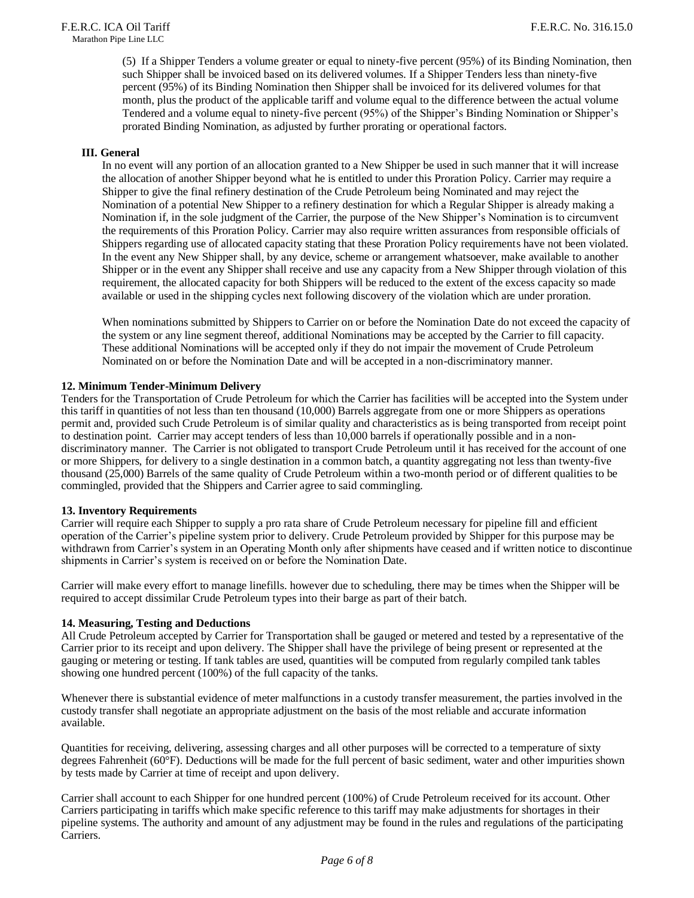(5) If a Shipper Tenders a volume greater or equal to ninety-five percent (95%) of its Binding Nomination, then such Shipper shall be invoiced based on its delivered volumes. If a Shipper Tenders less than ninety-five percent (95%) of its Binding Nomination then Shipper shall be invoiced for its delivered volumes for that month, plus the product of the applicable tariff and volume equal to the difference between the actual volume Tendered and a volume equal to ninety-five percent (95%) of the Shipper's Binding Nomination or Shipper's prorated Binding Nomination, as adjusted by further prorating or operational factors.

#### **III. General**

In no event will any portion of an allocation granted to a New Shipper be used in such manner that it will increase the allocation of another Shipper beyond what he is entitled to under this Proration Policy. Carrier may require a Shipper to give the final refinery destination of the Crude Petroleum being Nominated and may reject the Nomination of a potential New Shipper to a refinery destination for which a Regular Shipper is already making a Nomination if, in the sole judgment of the Carrier, the purpose of the New Shipper's Nomination is to circumvent the requirements of this Proration Policy. Carrier may also require written assurances from responsible officials of Shippers regarding use of allocated capacity stating that these Proration Policy requirements have not been violated. In the event any New Shipper shall, by any device, scheme or arrangement whatsoever, make available to another Shipper or in the event any Shipper shall receive and use any capacity from a New Shipper through violation of this requirement, the allocated capacity for both Shippers will be reduced to the extent of the excess capacity so made available or used in the shipping cycles next following discovery of the violation which are under proration.

When nominations submitted by Shippers to Carrier on or before the Nomination Date do not exceed the capacity of the system or any line segment thereof, additional Nominations may be accepted by the Carrier to fill capacity. These additional Nominations will be accepted only if they do not impair the movement of Crude Petroleum Nominated on or before the Nomination Date and will be accepted in a non-discriminatory manner.

#### **12. Minimum Tender-Minimum Delivery**

Tenders for the Transportation of Crude Petroleum for which the Carrier has facilities will be accepted into the System under this tariff in quantities of not less than ten thousand (10,000) Barrels aggregate from one or more Shippers as operations permit and, provided such Crude Petroleum is of similar quality and characteristics as is being transported from receipt point to destination point. Carrier may accept tenders of less than 10,000 barrels if operationally possible and in a nondiscriminatory manner. The Carrier is not obligated to transport Crude Petroleum until it has received for the account of one or more Shippers, for delivery to a single destination in a common batch, a quantity aggregating not less than twenty-five thousand (25,000) Barrels of the same quality of Crude Petroleum within a two-month period or of different qualities to be commingled, provided that the Shippers and Carrier agree to said commingling.

#### **13. Inventory Requirements**

Carrier will require each Shipper to supply a pro rata share of Crude Petroleum necessary for pipeline fill and efficient operation of the Carrier's pipeline system prior to delivery. Crude Petroleum provided by Shipper for this purpose may be withdrawn from Carrier's system in an Operating Month only after shipments have ceased and if written notice to discontinue shipments in Carrier's system is received on or before the Nomination Date.

Carrier will make every effort to manage linefills. however due to scheduling, there may be times when the Shipper will be required to accept dissimilar Crude Petroleum types into their barge as part of their batch.

#### **14. Measuring, Testing and Deductions**

All Crude Petroleum accepted by Carrier for Transportation shall be gauged or metered and tested by a representative of the Carrier prior to its receipt and upon delivery. The Shipper shall have the privilege of being present or represented at the gauging or metering or testing. If tank tables are used, quantities will be computed from regularly compiled tank tables showing one hundred percent (100%) of the full capacity of the tanks.

Whenever there is substantial evidence of meter malfunctions in a custody transfer measurement, the parties involved in the custody transfer shall negotiate an appropriate adjustment on the basis of the most reliable and accurate information available.

Quantities for receiving, delivering, assessing charges and all other purposes will be corrected to a temperature of sixty degrees Fahrenheit (60°F). Deductions will be made for the full percent of basic sediment, water and other impurities shown by tests made by Carrier at time of receipt and upon delivery.

Carrier shall account to each Shipper for one hundred percent (100%) of Crude Petroleum received for its account. Other Carriers participating in tariffs which make specific reference to this tariff may make adjustments for shortages in their pipeline systems. The authority and amount of any adjustment may be found in the rules and regulations of the participating Carriers.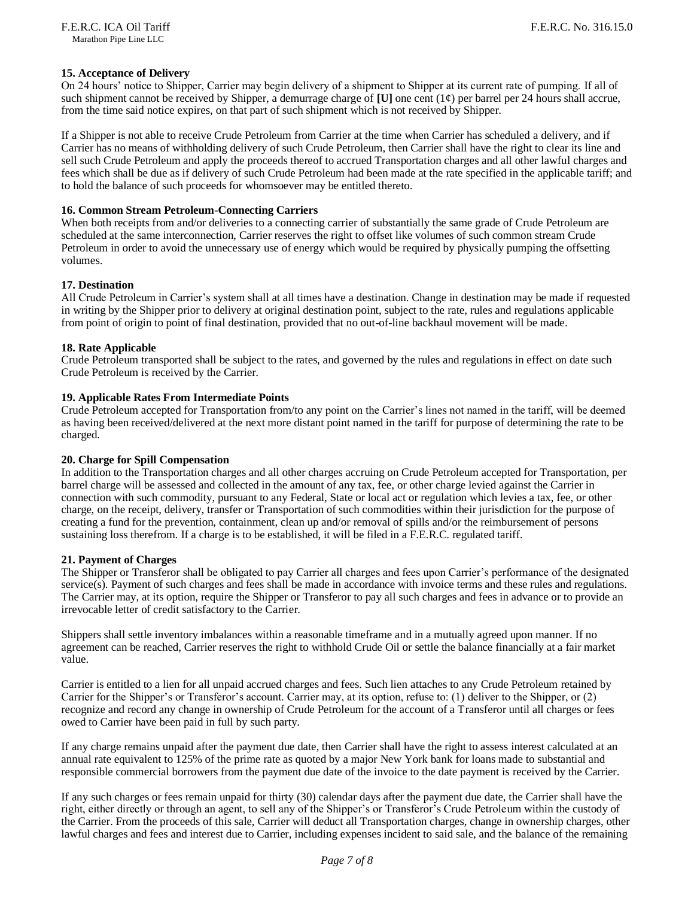#### **15. Acceptance of Delivery**

On 24 hours' notice to Shipper, Carrier may begin delivery of a shipment to Shipper at its current rate of pumping. If all of such shipment cannot be received by Shipper, a demurrage charge of  $[U]$  one cent  $(1¢)$  per barrel per 24 hours shall accrue, from the time said notice expires, on that part of such shipment which is not received by Shipper.

If a Shipper is not able to receive Crude Petroleum from Carrier at the time when Carrier has scheduled a delivery, and if Carrier has no means of withholding delivery of such Crude Petroleum, then Carrier shall have the right to clear its line and sell such Crude Petroleum and apply the proceeds thereof to accrued Transportation charges and all other lawful charges and fees which shall be due as if delivery of such Crude Petroleum had been made at the rate specified in the applicable tariff; and to hold the balance of such proceeds for whomsoever may be entitled thereto.

#### **16. Common Stream Petroleum-Connecting Carriers**

When both receipts from and/or deliveries to a connecting carrier of substantially the same grade of Crude Petroleum are scheduled at the same interconnection, Carrier reserves the right to offset like volumes of such common stream Crude Petroleum in order to avoid the unnecessary use of energy which would be required by physically pumping the offsetting volumes.

#### **17. Destination**

All Crude Petroleum in Carrier's system shall at all times have a destination. Change in destination may be made if requested in writing by the Shipper prior to delivery at original destination point, subject to the rate, rules and regulations applicable from point of origin to point of final destination, provided that no out-of-line backhaul movement will be made.

#### **18. Rate Applicable**

Crude Petroleum transported shall be subject to the rates, and governed by the rules and regulations in effect on date such Crude Petroleum is received by the Carrier.

#### **19. Applicable Rates From Intermediate Points**

Crude Petroleum accepted for Transportation from/to any point on the Carrier's lines not named in the tariff, will be deemed as having been received/delivered at the next more distant point named in the tariff for purpose of determining the rate to be charged.

#### **20. Charge for Spill Compensation**

In addition to the Transportation charges and all other charges accruing on Crude Petroleum accepted for Transportation, per barrel charge will be assessed and collected in the amount of any tax, fee, or other charge levied against the Carrier in connection with such commodity, pursuant to any Federal, State or local act or regulation which levies a tax, fee, or other charge, on the receipt, delivery, transfer or Transportation of such commodities within their jurisdiction for the purpose of creating a fund for the prevention, containment, clean up and/or removal of spills and/or the reimbursement of persons sustaining loss therefrom. If a charge is to be established, it will be filed in a F.E.R.C. regulated tariff.

#### **21. Payment of Charges**

The Shipper or Transferor shall be obligated to pay Carrier all charges and fees upon Carrier's performance of the designated service(s). Payment of such charges and fees shall be made in accordance with invoice terms and these rules and regulations. The Carrier may, at its option, require the Shipper or Transferor to pay all such charges and fees in advance or to provide an irrevocable letter of credit satisfactory to the Carrier.

Shippers shall settle inventory imbalances within a reasonable timeframe and in a mutually agreed upon manner. If no agreement can be reached, Carrier reserves the right to withhold Crude Oil or settle the balance financially at a fair market value.

Carrier is entitled to a lien for all unpaid accrued charges and fees. Such lien attaches to any Crude Petroleum retained by Carrier for the Shipper's or Transferor's account. Carrier may, at its option, refuse to: (1) deliver to the Shipper, or (2) recognize and record any change in ownership of Crude Petroleum for the account of a Transferor until all charges or fees owed to Carrier have been paid in full by such party.

If any charge remains unpaid after the payment due date, then Carrier shall have the right to assess interest calculated at an annual rate equivalent to 125% of the prime rate as quoted by a major New York bank for loans made to substantial and responsible commercial borrowers from the payment due date of the invoice to the date payment is received by the Carrier.

If any such charges or fees remain unpaid for thirty (30) calendar days after the payment due date, the Carrier shall have the right, either directly or through an agent, to sell any of the Shipper's or Transferor's Crude Petroleum within the custody of the Carrier. From the proceeds of this sale, Carrier will deduct all Transportation charges, change in ownership charges, other lawful charges and fees and interest due to Carrier, including expenses incident to said sale, and the balance of the remaining